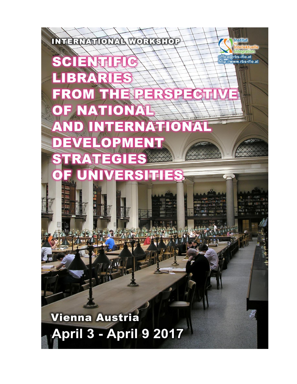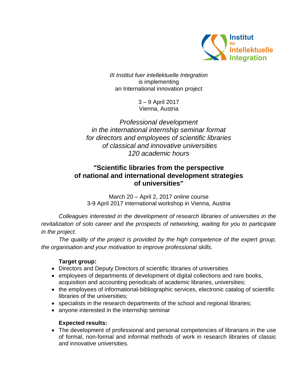

*III Institut fuer intellektuelle Integration* is implementing an International innovation project

> 3 – 9 April 2017 Vienna, Austria

*Professional development in the international internship seminar format for directors and employees of scientific libraries of classical and innovative universities 120 academic hours*

# **"Scientific libraries from the perspective of national and international development strategies of universities"**

March 20 – April 2, 2017 online course 3-9 April 2017 international workshop in Vienna, Austria

*Colleagues interested in the development of research libraries of universities in the revitalization of solo career and the prospects of networking, waiting for you to participate in the project.*

*The quality of the project is provided by the high competence of the expert group, the organisation and your motivation to improve professional skills.* 

# **Target group:**

- Directors and Deputy Directors of scientific libraries of universities
- employees of departments of development of digital collections and rare books, acquisition and accounting periodicals of academic libraries, universities;
- the employees of informational-bibliographic services, electronic catalog of scientific libraries of the universities;
- specialists in the research departments of the school and regional libraries;
- anyone interested in the internship seminar

# **Expected results:**

 The development of professional and personal competencies of librarians in the use of formal, non-formal and informal methods of work in research libraries of classic and innovative universities.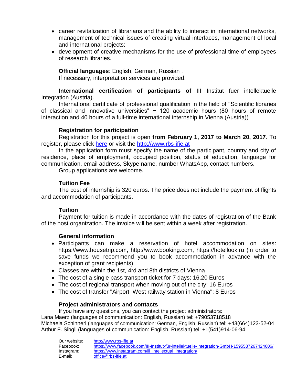- career revitalization of librarians and the ability to interact in international networks, management of technical issues of creating virtual interfaces, management of local and international projects;
- development of creative mechanisms for the use of professional time of employees of research libraries.

**Official languages**: English, German, Russian . If necessary, interpretation services are provided.

**International certification of participants of** III Institut fuer intellektuelle Integration (Austria).

International certificate of professional qualification in the field of "Scientific libraries of classical and innovative universities" − 120 academic hours (80 hours of remote interaction and 40 hours of a full-time international internship in Vienna (Austria))

#### **Registration for participation**

Registration for this project is open **from February 1, 2017 to March 20, 2017**. To register, please click [here](https://docs.google.com/forms/d/e/1FAIpQLSeCIIbFD3Io5Y8GMw1xdCqGahJDL9ozp73isfUZtq5UhbZMLw/viewform) or visit the [http://www.rbs-ifie.at](http://www.rbs-ifie.at/)

In the application form must specify the name of the participant, country and city of residence, place of employment, occupied position, status of education, language for communication, email address, Skype name, number WhatsApp, contact numbers.

Group applications are welcome.

#### **Tuition Fee**

The cost of internship is 320 euros. The price does not include the payment of flights and accommodation of participants.

# **Tuition**

Payment for tuition is made in accordance with the dates of registration of the Bank of the host organization. The invoice will be sent within a week after registration.

# **General information**

- Participants can make a reservation of hotel accommodation on sites: https://www.housetrip.com, http://www.booking.com, https://hotellook.ru (in order to save funds we recommend you to book accommodation in advance with the exception of grant recipients)
- Classes are within the 1st, 4rd and 8th districts of Vienna
- The cost of a single pass transport ticket for 7 days: 16,20 Euros
- The cost of regional transport when moving out of the city: 16 Euros
- The cost of transfer "Airport–West railway station in Vienna": 8 Euros

#### **Project administrators and contacts**

If you have any questions, you can contact the project administrators: Lana Maerz (languages of communication: English, Russian) tel: +79053718518 Мichaela Schinnerl (languages of communication: German, English, Russian) tel: +43(664)123-52-04 Аrthur F. Sibgll (languages of communication: English, Russian) tel: +1(541)914-06-94

| Our website: | http://www.rbs-ifie.at                                                                      |
|--------------|---------------------------------------------------------------------------------------------|
| Facebook:    | https://www.facebook.com/III-Institut-für-intellektuelle-Integration-GmbH-1595587267424606/ |
| Instagram:   | https://www.instagram.com/iii intellectual integration/                                     |
| E-mail:      | office@rbs-ifie.at                                                                          |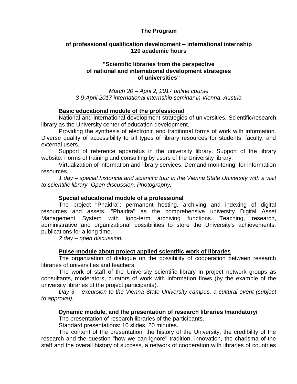#### **The Program**

# **of professional qualification development – international internship 120 academic hours**

#### **"Scientific libraries from the perspective of national and international development strategies of universities"**

*March 20 – April 2, 2017 online course 3-9 April 2017 international internship seminar in Vienna, Austria*

#### **Basic educational module of the professional**

National and international development strategies of universities. Scientific/research library as the University center of education development.

Providing the synthesis of electronic and traditional forms of work with information. Diverse quality of accessibility to all types of library resources for students, faculty, and external users.

Support of reference apparatus in the university library. Support of the library website. Forms of training and consulting by users of the University library.

Virtualization of information and library services. Demand monitoring for information resources.

*1 day – special historical and scientific tour in the Vienna State University with a visit to scientific library. Open discussion. Photography.*

# **Special educational module of a professional**

The project "Phaidra": permanent hosting, archiving and indexing of digital resources and assets. "Phaidra" as the comprehensive university Digital Asset Management System with long-term archiving functions. Teaching, research, administrative and organizational possibilities to store the University's achievements, publications for a long time.

*2 day – open discussion.*

# **Pulse-module about project applied scientific work of libraries**

The organization of dialogue on the possibility of cooperation between research libraries of universities and teachers.

The work of staff of the University scientific library in project network groups as consultants, moderators, curators of work with information flows (by the example of the university libraries of the project participants).

*Day 3 – excursion to the Vienna State University campus, a cultural event (subject to approval).*

# **Dynamic module, and the presentation of research libraries /mandatory/**

The presentation of research libraries of the participants.

Standard presentations: 10 slides, 20 minutes.

The content of the presentation: the history of the University, the credibility of the research and the question "how we can ignore" tradition, innovation, the charisma of the staff and the overall history of success, a network of cooperation with libraries of countries